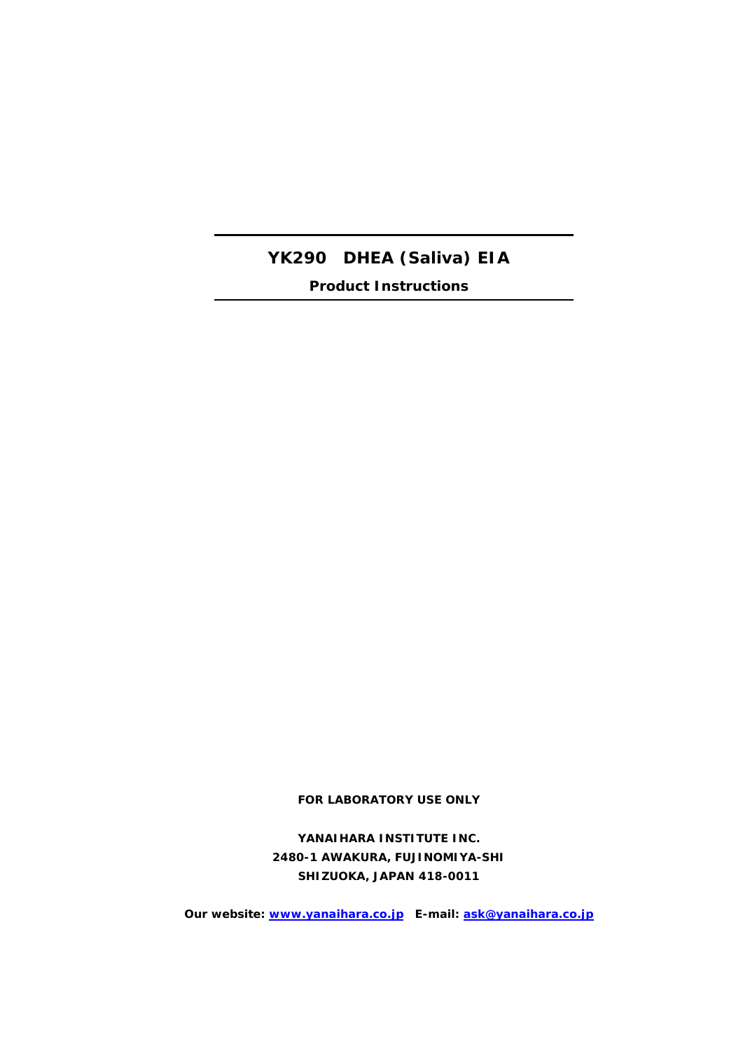# **YK290 DHEA (Saliva) EIA**

**Product Instructions**

**FOR LABORATORY USE ONLY**

**YANAIHARA INSTITUTE INC. 2480-1 AWAKURA, FUJINOMIYA-SHI SHIZUOKA, JAPAN 418-0011**

**Our website: [www.yanaihara.co.jp](http://www.yanaihara.co.jp/) E-mail: [ask@yanaihara.co.jp](mailto:ask@yanaihara.co.jp)**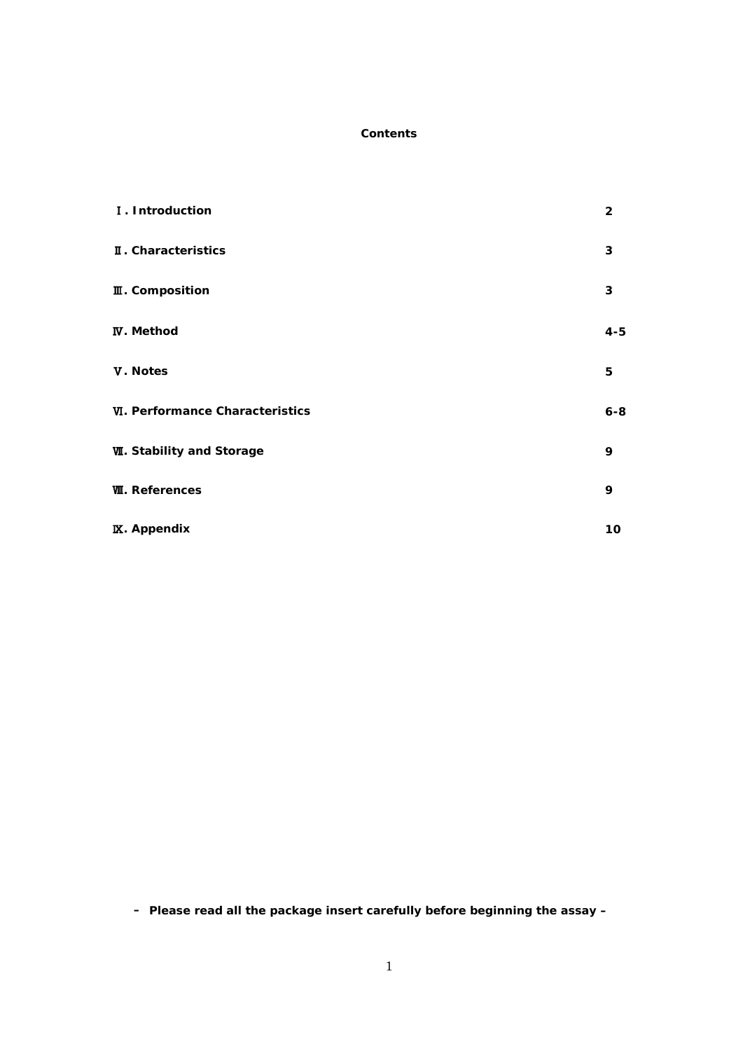#### **Contents**

| I. Introduction                        | $\overline{2}$ |
|----------------------------------------|----------------|
| II. Characteristics                    | 3              |
| <b>II</b> . Composition                | 3              |
| <b>IV.</b> Method                      | $4 - 5$        |
| V. Notes                               | 5              |
| <b>VI. Performance Characteristics</b> | $6 - 8$        |
| <b>W. Stability and Storage</b>        | 9              |
| <b>W. References</b>                   | 9              |
| <b>IX.</b> Appendix                    | 10             |

**– Please read all the package insert carefully before beginning the assay –**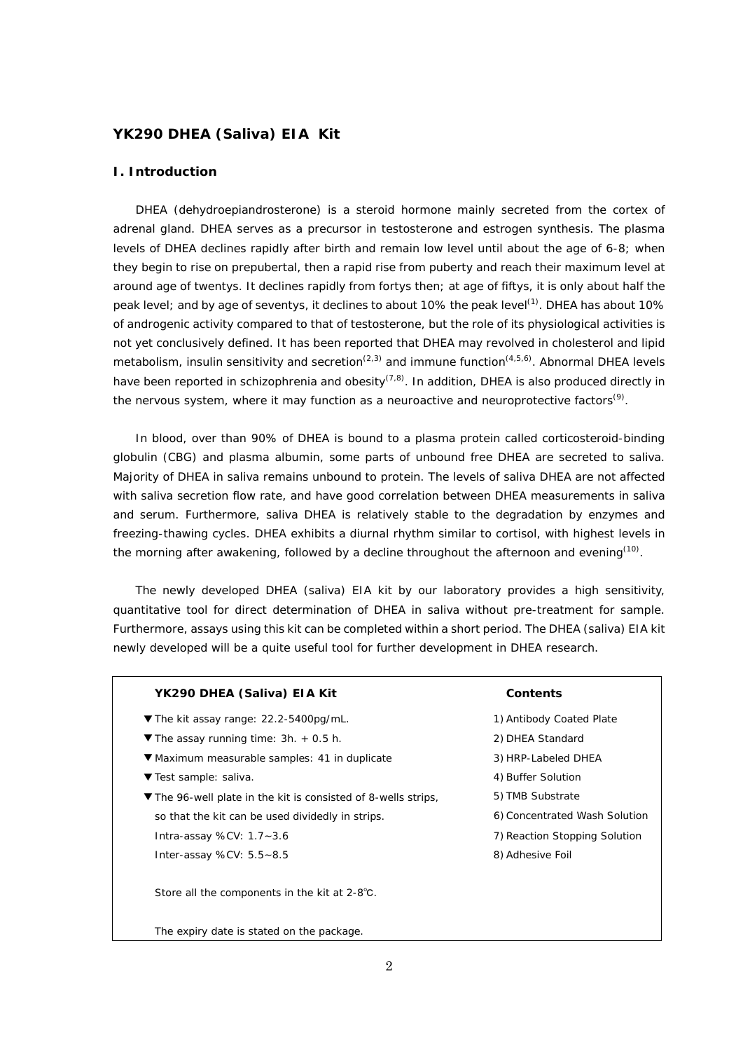#### **YK290 DHEA (Saliva) EIA Kit**

#### **I. Introduction**

DHEA (dehydroepiandrosterone) is a steroid hormone mainly secreted from the cortex of adrenal gland. DHEA serves as a precursor in testosterone and estrogen synthesis. The plasma levels of DHEA declines rapidly after birth and remain low level until about the age of 6-8; when they begin to rise on prepubertal, then a rapid rise from puberty and reach their maximum level at around age of twentys. It declines rapidly from fortys then; at age of fiftys, it is only about half the peak level; and by age of seventys, it declines to about 10% the peak level<sup>(1)</sup>. DHEA has about 10% of androgenic activity compared to that of testosterone, but the role of its physiological activities is not yet conclusively defined. It has been reported that DHEA may revolved in cholesterol and lipid metabolism, insulin sensitivity and secretion<sup>(2,3)</sup> and immune function<sup>(4,5,6)</sup>. Abnormal DHEA levels have been reported in schizophrenia and obesity<sup>(7,8)</sup>. In addition, DHEA is also produced directly in the nervous system, where it may function as a neuroactive and neuroprotective factors<sup>(9)</sup>.

In blood, over than 90% of DHEA is bound to a plasma protein called corticosteroid-binding globulin (CBG) and plasma albumin, some parts of unbound free DHEA are secreted to saliva. Majority of DHEA in saliva remains unbound to protein. The levels of saliva DHEA are not affected with saliva secretion flow rate, and have good correlation between DHEA measurements in saliva and serum. Furthermore, saliva DHEA is relatively stable to the degradation by enzymes and freezing-thawing cycles. DHEA exhibits a diurnal rhythm similar to cortisol, with highest levels in the morning after awakening, followed by a decline throughout the afternoon and evening<sup>(10)</sup>.

The newly developed DHEA (saliva) EIA kit by our laboratory provides a high sensitivity, quantitative tool for direct determination of DHEA in saliva without pre-treatment for sample. Furthermore, assays using this kit can be completed within a short period. The DHEA (saliva) EIA kit newly developed will be a quite useful tool for further development in DHEA research.

| YK290 DHEA (Saliva) EIA Kit                                                       | Contents                      |
|-----------------------------------------------------------------------------------|-------------------------------|
| ▼ The kit assay range: 22.2-5400pg/mL.                                            | 1) Antibody Coated Plate      |
| $\blacktriangledown$ The assay running time: 3h. + 0.5 h.                         | 2) DHEA Standard              |
| ▼ Maximum measurable samples: 41 in duplicate                                     | 3) HRP-Labeled DHEA           |
| ▼ Test sample: saliva.                                                            | 4) Buffer Solution            |
| $\blacktriangledown$ The 96-well plate in the kit is consisted of 8-wells strips, | 5) TMB Substrate              |
| so that the kit can be used dividedly in strips.                                  | 6) Concentrated Wash Solution |
| Intra-assay %CV: $1.7 - 3.6$                                                      | 7) Reaction Stopping Solution |
| Inter-assay %CV: $5.5 - 8.5$                                                      | 8) Adhesive Foil              |
| Store all the components in the kit at 2-8°C.                                     |                               |
| The expiry date is stated on the package.                                         |                               |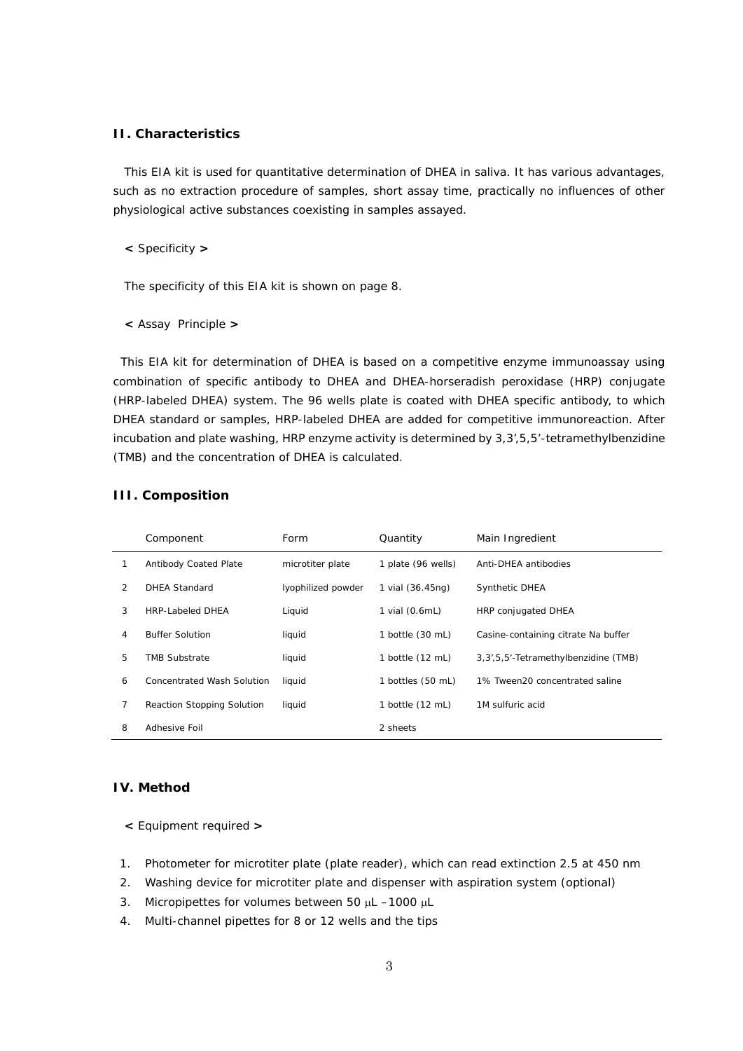#### **II. Characteristics**

This EIA kit is used for quantitative determination of DHEA in saliva. It has various advantages, such as no extraction procedure of samples, short assay time, practically no influences of other physiological active substances coexisting in samples assayed.

**<** Specificity **>**

The specificity of this EIA kit is shown on page 8.

**<** Assay Principle **>**

This EIA kit for determination of DHEA is based on a competitive enzyme immunoassay using combination of specific antibody to DHEA and DHEA-horseradish peroxidase (HRP) conjugate (HRP-labeled DHEA) system. The 96 wells plate is coated with DHEA specific antibody, to which DHEA standard or samples, HRP-labeled DHEA are added for competitive immunoreaction. After incubation and plate washing, HRP enzyme activity is determined by 3,3',5,5'-tetramethylbenzidine (TMB) and the concentration of DHEA is calculated.

|   | Component                    | Form               | Quantity           | Main Ingredient                         |
|---|------------------------------|--------------------|--------------------|-----------------------------------------|
|   | <b>Antibody Coated Plate</b> | microtiter plate   | 1 plate (96 wells) | Anti-DHEA antibodies                    |
| 2 | <b>DHEA Standard</b>         | lyophilized powder | 1 vial (36.45ng)   | <b>Synthetic DHEA</b>                   |
| 3 | <b>HRP-Labeled DHEA</b>      | Liquid             | 1 vial (0.6mL)     | HRP conjugated DHEA                     |
| 4 | <b>Buffer Solution</b>       | liquid             | 1 bottle (30 mL)   | Casine-containing citrate Na buffer     |
| 5 | <b>TMB Substrate</b>         | liquid             | 1 bottle (12 mL)   | 3, 3', 5, 5'-Tetramethylbenzidine (TMB) |
| 6 | Concentrated Wash Solution   | liquid             | 1 bottles (50 mL)  | 1% Tween20 concentrated saline          |
| 7 | Reaction Stopping Solution   | liquid             | 1 bottle (12 mL)   | 1M sulfuric acid                        |
| 8 | Adhesive Foil                |                    | 2 sheets           |                                         |

#### **III. Composition**

#### **IV. Method**

- **<** Equipment required **>**
- 1. Photometer for microtiter plate (plate reader), which can read extinction 2.5 at 450 nm
- 2. Washing device for microtiter plate and dispenser with aspiration system (optional)
- 3. Micropipettes for volumes between 50 µL -1000 µL
- 4. Multi-channel pipettes for 8 or 12 wells and the tips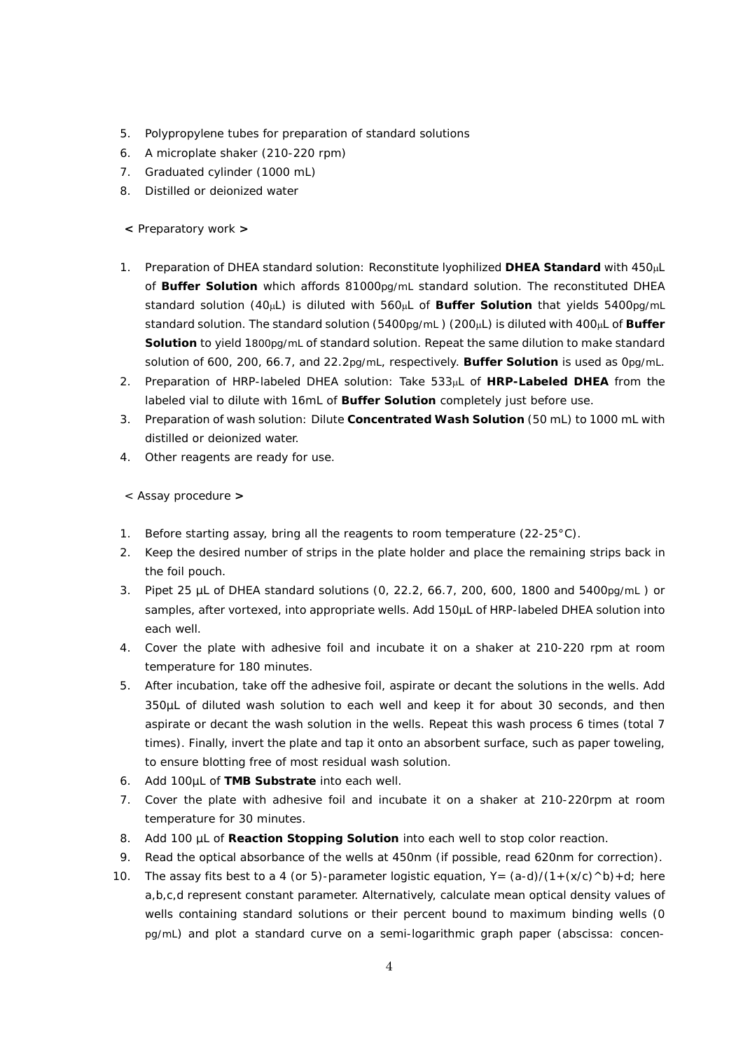- 5. Polypropylene tubes for preparation of standard solutions
- 6. A microplate shaker (210-220 rpm)
- 7. Graduated cylinder (1000 mL)
- 8. Distilled or deionized water

**<** Preparatory work **>**

- 1. Preparation of DHEA standard solution: Reconstitute lyophilized **DHEA Standard** with 450µL of **Buffer Solution** which affords 81000pg/mL standard solution. The reconstituted DHEA standard solution (40µL) is diluted with 560µL of **Buffer Solution** that yields 5400pg/mL standard solution. The standard solution (5400pg/mL ) (200µL) is diluted with 400µL of **Buffer Solution** to yield 1800pg/mL of standard solution. Repeat the same dilution to make standard solution of 600, 200, 66.7, and 22.2pg/mL, respectively. **Buffer Solution** is used as 0pg/mL.
- 2. Preparation of HRP-labeled DHEA solution: Take 533µL of **HRP-Labeled DHEA** from the labeled vial to dilute with 16mL of **Buffer Solution** completely just before use.
- 3. Preparation of wash solution: Dilute **Concentrated Wash Solution** (50 mL) to 1000 mL with distilled or deionized water.
- 4. Other reagents are ready for use.

< Assay procedure **>**

- 1. Before starting assay, bring all the reagents to room temperature (22-25°C).
- 2. Keep the desired number of strips in the plate holder and place the remaining strips back in the foil pouch.
- 3. Pipet 25 µL of DHEA standard solutions (0, 22.2, 66.7, 200, 600, 1800 and 5400pg/mL ) or samples, after vortexed, into appropriate wells. Add 150µL of HRP-labeled DHEA solution into each well.
- 4. Cover the plate with adhesive foil and incubate it on a shaker at 210-220 rpm at room temperature for 180 minutes.
- 5. After incubation, take off the adhesive foil, aspirate or decant the solutions in the wells. Add 350µL of diluted wash solution to each well and keep it for about 30 seconds, and then aspirate or decant the wash solution in the wells. Repeat this wash process 6 times (total 7 times). Finally, invert the plate and tap it onto an absorbent surface, such as paper toweling, to ensure blotting free of most residual wash solution.
- 6. Add 100µL of **TMB Substrate** into each well.
- 7. Cover the plate with adhesive foil and incubate it on a shaker at 210-220rpm at room temperature for 30 minutes.
- 8. Add 100 µL of **Reaction Stopping Solution** into each well to stop color reaction.
- 9. Read the optical absorbance of the wells at 450nm (if possible, read 620nm for correction).
- 10. The assay fits best to a 4 (or 5)-parameter logistic equation,  $Y=(a-d)/(1+(x/c) \wedge b)+d$ ; here a,b,c,d represent constant parameter. Alternatively, calculate mean optical density values of wells containing standard solutions or their percent bound to maximum binding wells (0 pg/mL) and plot a standard curve on a semi-logarithmic graph paper (abscissa: concen-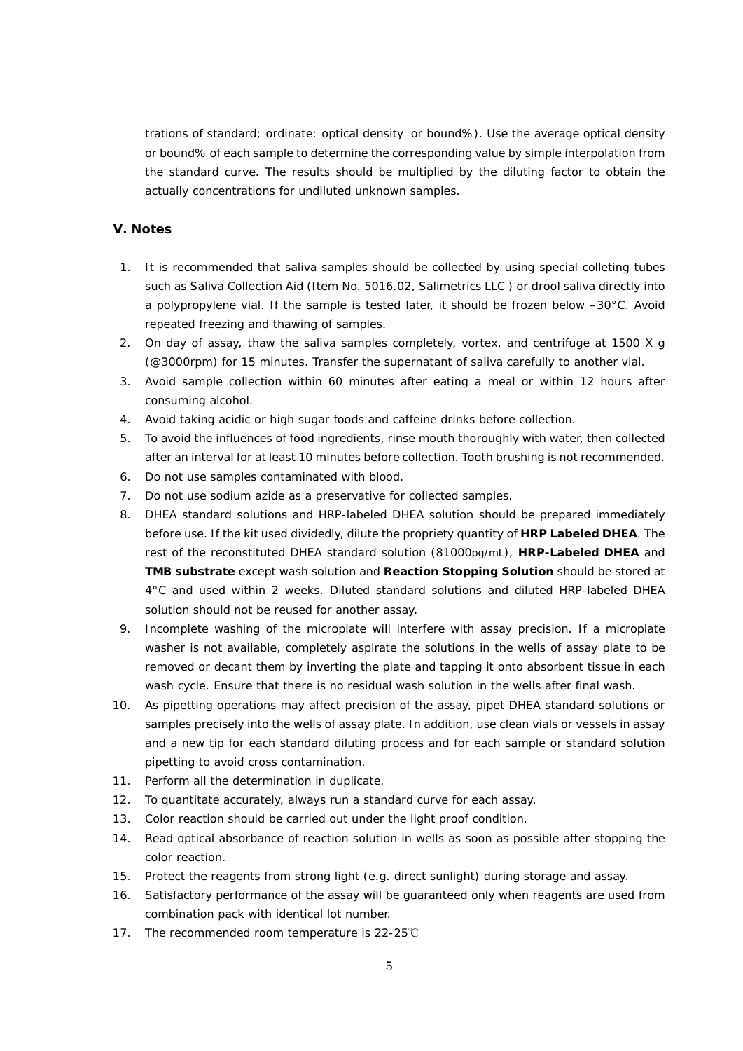trations of standard; ordinate: optical density or bound%). Use the average optical density or bound% of each sample to determine the corresponding value by simple interpolation from the standard curve. The results should be multiplied by the diluting factor to obtain the actually concentrations for undiluted unknown samples.

### **V. Notes**

- 1. It is recommended that saliva samples should be collected by using special colleting tubes such as Saliva Collection Aid (Item No. 5016.02, Salimetrics LLC ) or drool saliva directly into a polypropylene vial. If the sample is tested later, it should be frozen below –30°C. Avoid repeated freezing and thawing of samples.
- 2. On day of assay, thaw the saliva samples completely, vortex, and centrifuge at 1500 X g (@3000rpm) for 15 minutes. Transfer the supernatant of saliva carefully to another vial.
- 3. Avoid sample collection within 60 minutes after eating a meal or within 12 hours after consuming alcohol.
- 4. Avoid taking acidic or high sugar foods and caffeine drinks before collection.
- 5. To avoid the influences of food ingredients, rinse mouth thoroughly with water, then collected after an interval for at least 10 minutes before collection. Tooth brushing is not recommended.
- 6. Do not use samples contaminated with blood.
- 7. Do not use sodium azide as a preservative for collected samples.
- 8. DHEA standard solutions and HRP-labeled DHEA solution should be prepared immediately before use. If the kit used dividedly, dilute the propriety quantity of **HRP Labeled DHEA**. The rest of the reconstituted DHEA standard solution (81000pg/mL), **HRP-Labeled DHEA** and **TMB substrate** except wash solution and **Reaction Stopping Solution** should be stored at 4°C and used within 2 weeks. Diluted standard solutions and diluted HRP-labeled DHEA solution should not be reused for another assay.
- 9. Incomplete washing of the microplate will interfere with assay precision. If a microplate washer is not available, completely aspirate the solutions in the wells of assay plate to be removed or decant them by inverting the plate and tapping it onto absorbent tissue in each wash cycle. Ensure that there is no residual wash solution in the wells after final wash.
- 10. As pipetting operations may affect precision of the assay, pipet DHEA standard solutions or samples precisely into the wells of assay plate. In addition, use clean vials or vessels in assay and a new tip for each standard diluting process and for each sample or standard solution pipetting to avoid cross contamination.
- 11. Perform all the determination in duplicate.
- 12. To quantitate accurately, always run a standard curve for each assay.
- 13. Color reaction should be carried out under the light proof condition.
- 14. Read optical absorbance of reaction solution in wells as soon as possible after stopping the color reaction.
- 15. Protect the reagents from strong light (e.g. direct sunlight) during storage and assay.
- 16. Satisfactory performance of the assay will be guaranteed only when reagents are used from combination pack with identical lot number.
- 17. The recommended room temperature is 22-25℃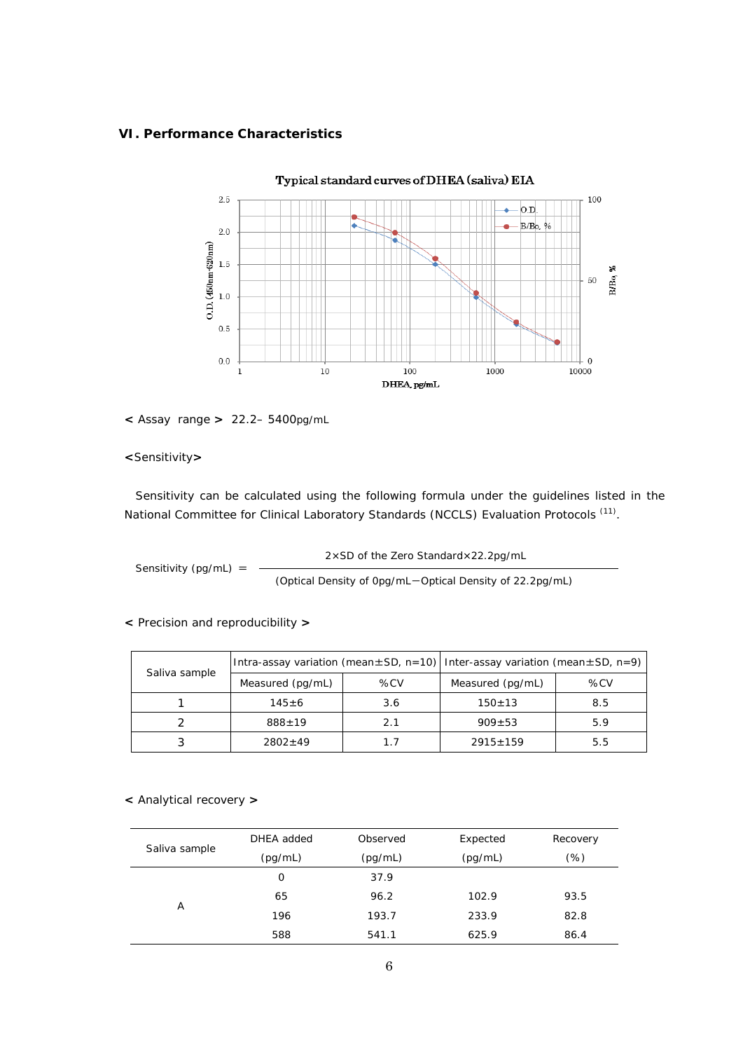#### **VI. Performance Characteristics**



#### **<** Assay range **>** 22.2– 5400pg/mL

**<**Sensitivity**>**

Sensitivity can be calculated using the following formula under the guidelines listed in the National Committee for Clinical Laboratory Standards (NCCLS) Evaluation Protocols <sup>(11)</sup>.

Sensitivity (pg/mL) = 2×SD of the Zero Standard×22.2pg/mL (Optical Density of 0pg/mL-Optical Density of 22.2pg/mL)

**<** Precision and reproducibility **>**

| Saliva sample |  | Intra-assay variation (mean $\pm$ SD, n=10)   Inter-assay variation (mean $\pm$ SD, n=9) |     |                  |     |
|---------------|--|------------------------------------------------------------------------------------------|-----|------------------|-----|
|               |  | Measured (pg/mL)                                                                         | %CV | Measured (pg/mL) | %CV |
|               |  | $145 + 6$                                                                                | 3.6 | $150 + 13$       | 8.5 |
|               |  | $888 + 19$                                                                               | 2.1 | $909 + 53$       | 5.9 |
|               |  | $2802+49$                                                                                | 1.7 | $2915 \pm 159$   | 5.5 |

#### **<** Analytical recovery **>**

| Saliva sample | DHEA added | Observed | Expected | Recovery |
|---------------|------------|----------|----------|----------|
|               | (pg/mL)    | (pg/mL)  | (pg/mL)  | $(\%)$   |
|               | 0          | 37.9     |          |          |
| Α             | 65         | 96.2     | 102.9    | 93.5     |
|               | 196        | 193.7    | 233.9    | 82.8     |
|               | 588        | 541.1    | 625.9    | 86.4     |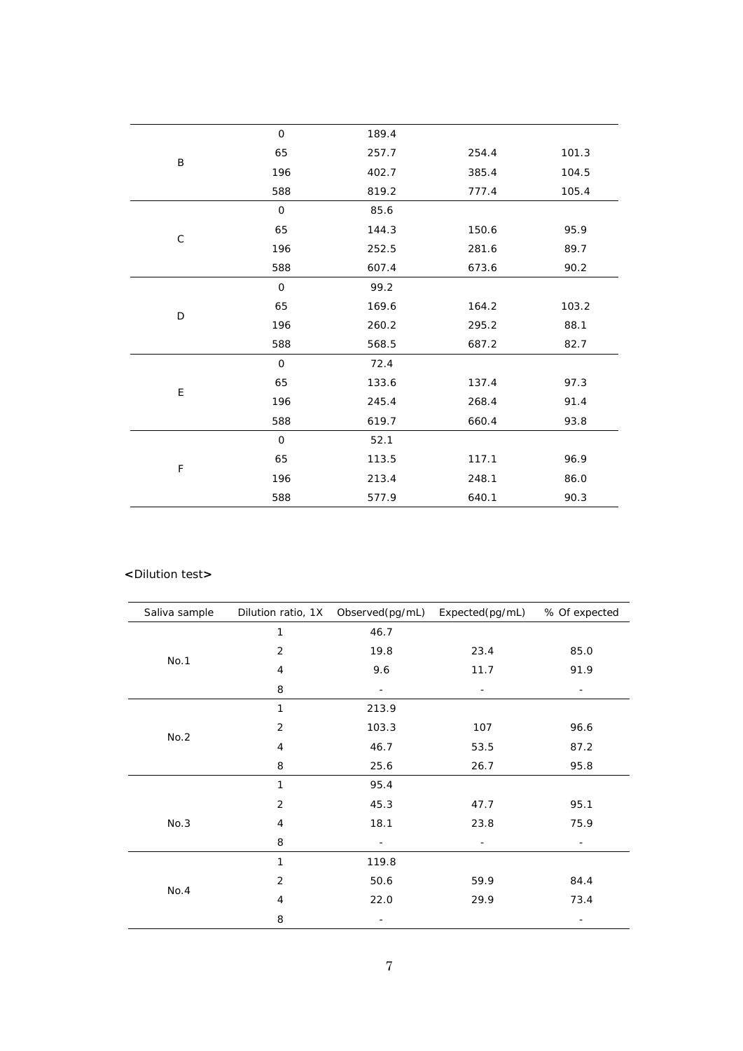|             | $\mathbf 0$  | 189.4 |       |       |
|-------------|--------------|-------|-------|-------|
| B           | 65           | 257.7 | 254.4 | 101.3 |
|             | 196          | 402.7 | 385.4 | 104.5 |
|             | 588          | 819.2 | 777.4 | 105.4 |
|             | $\mathbf 0$  | 85.6  |       |       |
|             | 65           | 144.3 | 150.6 | 95.9  |
| $\mathsf C$ | 196          | 252.5 | 281.6 | 89.7  |
|             | 588          | 607.4 | 673.6 | 90.2  |
|             | $\mathbf 0$  | 99.2  |       |       |
|             | 65           | 169.6 | 164.2 | 103.2 |
| D           | 196          | 260.2 | 295.2 | 88.1  |
|             | 588          | 568.5 | 687.2 | 82.7  |
|             | $\mathbf 0$  | 72.4  |       |       |
|             | 65           | 133.6 | 137.4 | 97.3  |
| Ε           | 196          | 245.4 | 268.4 | 91.4  |
|             | 588          | 619.7 | 660.4 | 93.8  |
|             | $\mathsf{O}$ | 52.1  |       |       |
|             | 65           | 113.5 | 117.1 | 96.9  |
| F           | 196          | 213.4 | 248.1 | 86.0  |
|             | 588          | 577.9 | 640.1 | 90.3  |

#### **<**Dilution test**>**

| Saliva sample |                | Dilution ratio, 1X Observed(pg/mL) Expected(pg/mL) |      | % Of expected |
|---------------|----------------|----------------------------------------------------|------|---------------|
|               | 1              | 46.7                                               |      |               |
|               | $\overline{2}$ | 19.8                                               | 23.4 | 85.0          |
| No.1          | $\overline{4}$ | 9.6                                                | 11.7 | 91.9          |
|               | 8              |                                                    |      | -             |
|               | 1              | 213.9                                              |      |               |
| No.2          | 2              | 103.3                                              | 107  | 96.6          |
|               | 4              | 46.7                                               | 53.5 | 87.2          |
|               | 8              | 25.6                                               | 26.7 | 95.8          |
|               | $\mathbf{1}$   | 95.4                                               |      |               |
|               | 2              | 45.3                                               | 47.7 | 95.1          |
| No.3          | 4              | 18.1                                               | 23.8 | 75.9          |
|               | 8              | ۰                                                  | -    | -             |
|               | 1              | 119.8                                              |      |               |
|               | $\overline{2}$ | 50.6                                               | 59.9 | 84.4          |
| No.4          | 4              | 22.0                                               | 29.9 | 73.4          |
|               | 8              |                                                    |      | -             |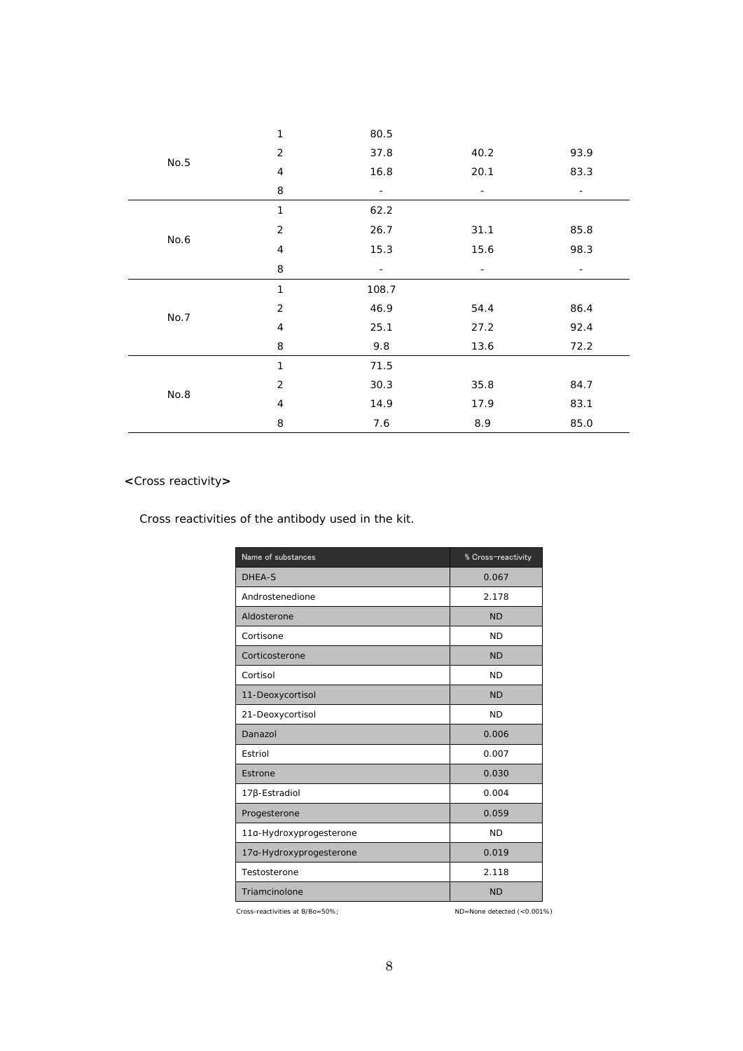|      | 1              | 80.5  |                          |                          |
|------|----------------|-------|--------------------------|--------------------------|
| No.5 | $\overline{2}$ | 37.8  | 40.2                     | 93.9                     |
|      | 4              | 16.8  | 20.1                     | 83.3                     |
|      | 8              | -     | $\overline{\phantom{a}}$ | -                        |
|      | $\mathbf{1}$   | 62.2  |                          |                          |
|      | $\sqrt{2}$     | 26.7  | 31.1                     | 85.8                     |
| No.6 | 4              | 15.3  | 15.6                     | 98.3                     |
|      | 8              |       | $\overline{\phantom{a}}$ | $\overline{\phantom{a}}$ |
|      |                |       |                          |                          |
|      | 1              | 108.7 |                          |                          |
|      | $\overline{2}$ | 46.9  | 54.4                     | 86.4                     |
| No.7 | 4              | 25.1  | 27.2                     | 92.4                     |
|      | 8              | 9.8   | 13.6                     | 72.2                     |
|      | 1              | 71.5  |                          |                          |
|      | $\sqrt{2}$     | 30.3  | 35.8                     | 84.7                     |
| No.8 | 4              | 14.9  | 17.9                     | 83.1                     |

## **<**Cross reactivity**>**

Cross reactivities of the antibody used in the kit.

| Name of substances      | % Cross-reactivity |
|-------------------------|--------------------|
| <b>DHEA-S</b>           | 0.067              |
| Androstenedione         | 2.178              |
| Aldosterone             | <b>ND</b>          |
| Cortisone               | <b>ND</b>          |
| Corticosterone          | <b>ND</b>          |
| Cortisol                | <b>ND</b>          |
| 11-Deoxycortisol        | <b>ND</b>          |
| 21-Deoxycortisol        | <b>ND</b>          |
| Danazol                 | 0.006              |
| Estriol                 | 0.007              |
| Estrone                 | 0.030              |
| 17β-Estradiol           | 0.004              |
| Progesterone            | 0.059              |
| 11a-Hydroxyprogesterone | <b>ND</b>          |
| 17a-Hydroxyprogesterone | 0.019              |
| Testosterone            | 2.118              |
| Triamcinolone           | <b>ND</b>          |

Cross-reactivities at B/Bo=50%; ND=None detected (<0.001%)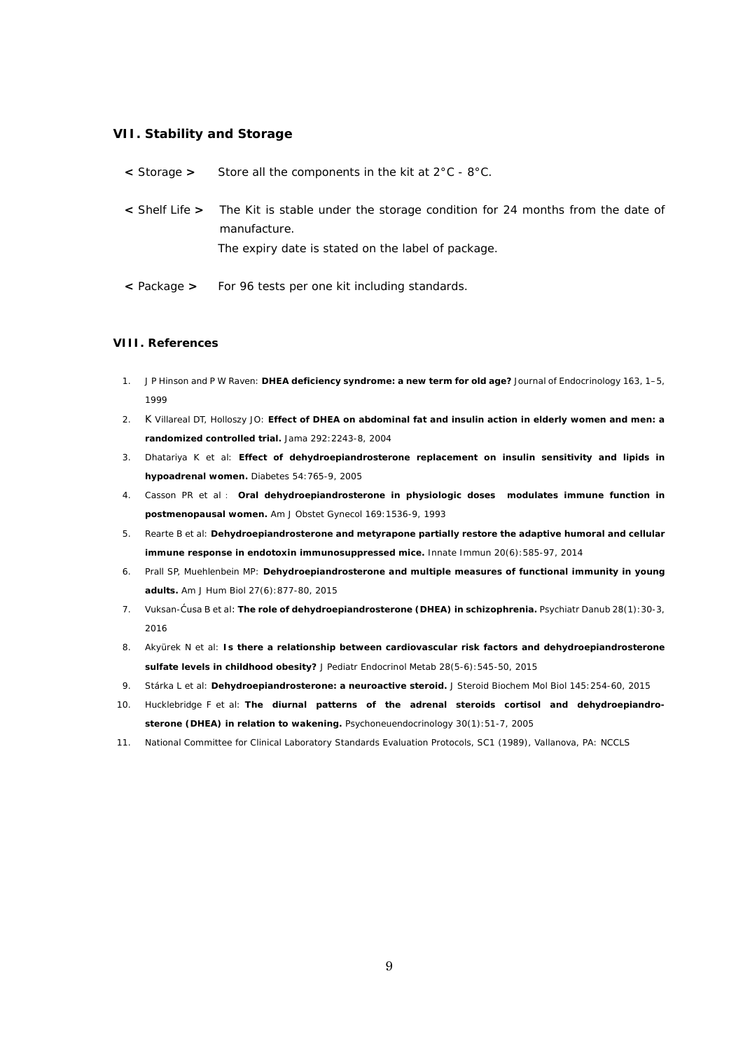#### **VII. Stability and Storage**

| < Storage > | Store all the components in the kit at $2^{\circ}$ C - $8^{\circ}$ C.                                                                                             |
|-------------|-------------------------------------------------------------------------------------------------------------------------------------------------------------------|
|             | < Shelf Life > The Kit is stable under the storage condition for 24 months from the date of<br>manufacture.<br>The expiry date is stated on the label of package. |
| < Package > | For 96 tests per one kit including standards.                                                                                                                     |

#### **VIII. References**

- 1. J P Hinson and P W Raven: **DHEA deficiency syndrome: a new term for old age?** Journal of Endocrinology 163, 1–5, 1999
- 2. K Villareal DT, Holloszy JO: **Effect of DHEA on abdominal fat and insulin action in elderly women and men: a randomized controlled trial.** Jama 292:2243-8, 2004
- 3. Dhatariya K et al: **Effect of dehydroepiandrosterone replacement on insulin sensitivity and lipids in hypoadrenal women.** Diabetes 54:765-9, 2005
- 4. Casson PR et al: **Oral dehydroepiandrosterone in physiologic doses modulates immune function in postmenopausal women.** Am J Obstet Gynecol 169:1536-9, 1993
- 5. Rearte B et al: **Dehydroepiandrosterone and metyrapone partially restore the adaptive humoral and cellular immune response in endotoxin immunosuppressed mice.** Innate Immun 20(6):585-97, 2014
- 6. Prall SP, Muehlenbein MP: **Dehydroepiandrosterone and multiple measures of functional immunity in young adults.** Am J Hum Biol 27(6):877-80, 2015
- 7. Vuksan-Ćusa B et al: **The role of dehydroepiandrosterone (DHEA) in schizophrenia.** Psychiatr Danub 28(1):30-3, 2016
- 8. Akyürek N et al: **Is there a relationship between cardiovascular risk factors and dehydroepiandrosterone sulfate levels in childhood obesity?** J Pediatr Endocrinol Metab 28(5-6):545-50, 2015
- 9. Stárka L et al: **Dehydroepiandrosterone: a neuroactive steroid.** J Steroid Biochem Mol Biol 145:254-60, 2015
- 10. Hucklebridge F et al: **The diurnal patterns of the adrenal steroids cortisol and dehydroepiandrosterone (DHEA) in relation to wakening.** Psychoneuendocrinology 30(1):51-7, 2005
- 11. National Committee for Clinical Laboratory Standards Evaluation Protocols, SC1 (1989), Vallanova, PA: NCCLS